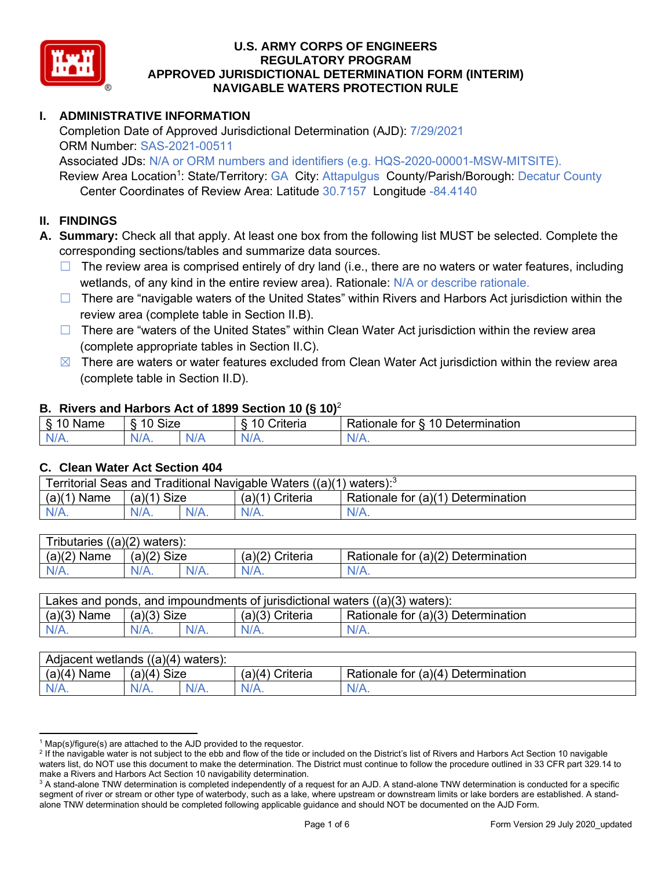

#### **I. ADMINISTRATIVE INFORMATION**

Completion Date of Approved Jurisdictional Determination (AJD): 7/29/2021 ORM Number: SAS-2021-00511 Associated JDs: N/A or ORM numbers and identifiers (e.g. HQS-2020-00001-MSW-MITSITE).

Review Area Location<sup>1</sup>: State/Territory: GA City: Attapulgus County/Parish/Borough: Decatur County Center Coordinates of Review Area: Latitude 30.7157 Longitude -84.4140

#### **II. FINDINGS**

**A. Summary:** Check all that apply. At least one box from the following list MUST be selected. Complete the corresponding sections/tables and summarize data sources.

- $\Box$  The review area is comprised entirely of dry land (i.e., there are no waters or water features, including wetlands, of any kind in the entire review area). Rationale: N/A or describe rationale.
- □ There are "navigable waters of the United States" within Rivers and Harbors Act jurisdiction within the review area (complete table in Section II.B).
- □ There are "waters of the United States" within Clean Water Act jurisdiction within the review area (complete appropriate tables in Section II.C).
- $\boxtimes$  There are waters or water features excluded from Clean Water Act jurisdiction within the review area (complete table in Section II.D).

#### **B. Rivers and Harbors Act of 1899 Section 10 (§ 10)**<sup>2</sup>

| $\cdot$     |                                            |    |                       |                                               |  |  |
|-------------|--------------------------------------------|----|-----------------------|-----------------------------------------------|--|--|
| Name        | <b>Size</b><br>$\overline{A}$<br>C)<br>ιv. |    | 10<br>. .<br>`rıterıa | Determination<br>$\Delta$<br>१atıonale<br>tor |  |  |
| N/L<br>- 11 | NIZ<br>97 / TV .                           | м. |                       | N/A.                                          |  |  |

#### **C. Clean Water Act Section 404**

| l Traditional Navigable Waters ((a)(1)<br><b>Territorial Seas and</b><br>waters): $\degree$ |                |  |                    |                                            |  |  |
|---------------------------------------------------------------------------------------------|----------------|--|--------------------|--------------------------------------------|--|--|
| (a)(1)<br>Name                                                                              | Size<br>(a)(1) |  | (a)(1)<br>Criteria | Rationale for $(a)(1)$<br>1) Determination |  |  |
| IV/A.                                                                                       | $N/A$ .        |  | N/A.               | $N/A$ .                                    |  |  |

| Tributaries $((a)(2)$ waters): |               |  |                 |                                    |  |  |
|--------------------------------|---------------|--|-----------------|------------------------------------|--|--|
| $(a)(2)$ Name                  | $(a)(2)$ Size |  | (a)(2) Criteria | Rationale for (a)(2) Determination |  |  |
| $N/A$ .                        | $N/A$ .       |  | $N/A$ .         | N/A.                               |  |  |

| Lakes and ponds, and impoundments of jurisdictional waters $((a)(3)$ waters): |               |  |                   |                                    |  |
|-------------------------------------------------------------------------------|---------------|--|-------------------|------------------------------------|--|
| $(a)(3)$ Name                                                                 | $(a)(3)$ Size |  | $(a)(3)$ Criteria | Rationale for (a)(3) Determination |  |
| $N/A$ .                                                                       | $N/A$ .       |  | $N/A$ .           | $N/A$ .                            |  |

| Adjacent<br>$((a)(4)$ waters):<br>wetlands |                       |         |                   |                                    |  |  |
|--------------------------------------------|-----------------------|---------|-------------------|------------------------------------|--|--|
| (a)(4)<br>Name                             | (a)(4)<br><b>Size</b> |         | (a)(4<br>Criteria | Rationale for (a)(4) Determination |  |  |
| N/A.                                       | N/A.                  | $N/A$ . | $N/A$ .           | $N/A$ .                            |  |  |

 $1$  Map(s)/figure(s) are attached to the AJD provided to the requestor.

<sup>&</sup>lt;sup>2</sup> If the navigable water is not subject to the ebb and flow of the tide or included on the District's list of Rivers and Harbors Act Section 10 navigable waters list, do NOT use this document to make the determination. The District must continue to follow the procedure outlined in 33 CFR part 329.14 to make a Rivers and Harbors Act Section 10 navigability determination.

 $3$  A stand-alone TNW determination is completed independently of a request for an AJD. A stand-alone TNW determination is conducted for a specific segment of river or stream or other type of waterbody, such as a lake, where upstream or downstream limits or lake borders are established. A standalone TNW determination should be completed following applicable guidance and should NOT be documented on the AJD Form.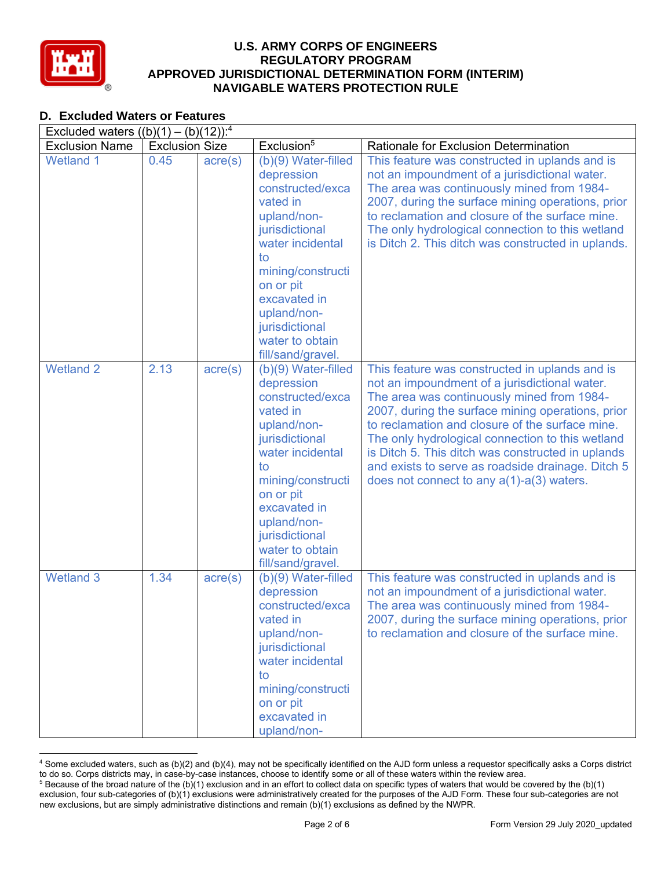

#### **D. Excluded Waters or Features**

| Excluded waters $((b)(1) - (b)(12))$ : <sup>4</sup> |                       |                  |                                                                                                                                                                                                                                                         |                                                                                                                                                                                                                                                                                                                                                                                                                                                                        |  |  |  |
|-----------------------------------------------------|-----------------------|------------------|---------------------------------------------------------------------------------------------------------------------------------------------------------------------------------------------------------------------------------------------------------|------------------------------------------------------------------------------------------------------------------------------------------------------------------------------------------------------------------------------------------------------------------------------------------------------------------------------------------------------------------------------------------------------------------------------------------------------------------------|--|--|--|
| <b>Exclusion Name</b>                               | <b>Exclusion Size</b> |                  | Exclusion <sup>5</sup>                                                                                                                                                                                                                                  | <b>Rationale for Exclusion Determination</b>                                                                                                                                                                                                                                                                                                                                                                                                                           |  |  |  |
| <b>Wetland 1</b>                                    | 0.45                  | $\text{acre}(s)$ | (b)(9) Water-filled<br>depression<br>constructed/exca<br>vated in<br>upland/non-<br>jurisdictional<br>water incidental<br>to<br>mining/constructi<br>on or pit<br>excavated in<br>upland/non-<br>jurisdictional<br>water to obtain<br>fill/sand/gravel. | This feature was constructed in uplands and is<br>not an impoundment of a jurisdictional water.<br>The area was continuously mined from 1984-<br>2007, during the surface mining operations, prior<br>to reclamation and closure of the surface mine.<br>The only hydrological connection to this wetland<br>is Ditch 2. This ditch was constructed in uplands.                                                                                                        |  |  |  |
| <b>Wetland 2</b>                                    | 2.13                  | $\text{acre}(s)$ | (b)(9) Water-filled<br>depression<br>constructed/exca<br>vated in<br>upland/non-<br>jurisdictional<br>water incidental<br>to<br>mining/constructi<br>on or pit<br>excavated in<br>upland/non-<br>jurisdictional<br>water to obtain<br>fill/sand/gravel. | This feature was constructed in uplands and is<br>not an impoundment of a jurisdictional water.<br>The area was continuously mined from 1984-<br>2007, during the surface mining operations, prior<br>to reclamation and closure of the surface mine.<br>The only hydrological connection to this wetland<br>is Ditch 5. This ditch was constructed in uplands<br>and exists to serve as roadside drainage. Ditch 5<br>does not connect to any $a(1)$ - $a(3)$ waters. |  |  |  |
| Wetland <sub>3</sub>                                | 1.34                  | $\text{acre}(s)$ | (b)(9) Water-filled<br>depression<br>constructed/exca<br>vated in<br>upland/non-<br>jurisdictional<br>water incidental<br>to<br>mining/constructi<br>on or pit<br>excavated in<br>upland/non-                                                           | This feature was constructed in uplands and is<br>not an impoundment of a jurisdictional water.<br>The area was continuously mined from 1984-<br>2007, during the surface mining operations, prior<br>to reclamation and closure of the surface mine.                                                                                                                                                                                                                  |  |  |  |

<sup>&</sup>lt;sup>4</sup> Some excluded waters, such as (b)(2) and (b)(4), may not be specifically identified on the AJD form unless a requestor specifically asks a Corps district to do so. Corps districts may, in case-by-case instances, choose <sup>5</sup> Because of the broad nature of the (b)(1) exclusion and in an effort to collect data on specific types of waters that would be covered by the (b)(1)

exclusion, four sub-categories of (b)(1) exclusions were administratively created for the purposes of the AJD Form. These four sub-categories are not new exclusions, but are simply administrative distinctions and remain (b)(1) exclusions as defined by the NWPR.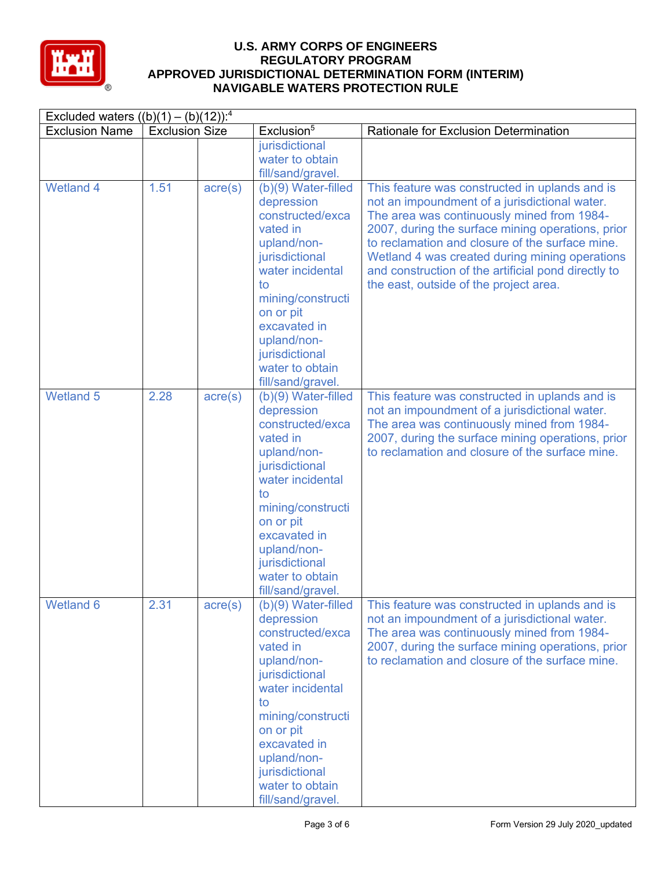

| Excluded waters $((b)(1) - (b)(12))$ : <sup>4</sup> |                       |                  |                                                                                                                                                                                                                                                           |                                                                                                                                                                                                                                                                                                                                                                                                          |  |
|-----------------------------------------------------|-----------------------|------------------|-----------------------------------------------------------------------------------------------------------------------------------------------------------------------------------------------------------------------------------------------------------|----------------------------------------------------------------------------------------------------------------------------------------------------------------------------------------------------------------------------------------------------------------------------------------------------------------------------------------------------------------------------------------------------------|--|
| <b>Exclusion Name</b>                               | <b>Exclusion Size</b> |                  | Exclusion <sup>5</sup>                                                                                                                                                                                                                                    | Rationale for Exclusion Determination                                                                                                                                                                                                                                                                                                                                                                    |  |
|                                                     |                       |                  | jurisdictional<br>water to obtain<br>fill/sand/gravel.                                                                                                                                                                                                    |                                                                                                                                                                                                                                                                                                                                                                                                          |  |
| <b>Wetland 4</b>                                    | 1.51                  | $\text{acre}(s)$ | (b)(9) Water-filled<br>depression<br>constructed/exca<br>vated in<br>upland/non-<br>jurisdictional<br>water incidental<br>to<br>mining/constructi<br>on or pit<br>excavated in<br>upland/non-<br>jurisdictional<br>water to obtain<br>fill/sand/gravel.   | This feature was constructed in uplands and is<br>not an impoundment of a jurisdictional water.<br>The area was continuously mined from 1984-<br>2007, during the surface mining operations, prior<br>to reclamation and closure of the surface mine.<br>Wetland 4 was created during mining operations<br>and construction of the artificial pond directly to<br>the east, outside of the project area. |  |
| <b>Wetland 5</b>                                    | 2.28                  | $\text{acre}(s)$ | (b)(9) Water-filled<br>depression<br>constructed/exca<br>vated in<br>upland/non-<br>jurisdictional<br>water incidental<br>to<br>mining/constructi<br>on or pit<br>excavated in<br>upland/non-<br>jurisdictional<br>water to obtain<br>fill/sand/gravel.   | This feature was constructed in uplands and is<br>not an impoundment of a jurisdictional water.<br>The area was continuously mined from 1984-<br>2007, during the surface mining operations, prior<br>to reclamation and closure of the surface mine.                                                                                                                                                    |  |
| <b>Wetland 6</b>                                    | 2.31                  | $\text{acre}(s)$ | $(b)(9)$ Water-filled<br>depression<br>constructed/exca<br>vated in<br>upland/non-<br>jurisdictional<br>water incidental<br>to<br>mining/constructi<br>on or pit<br>excavated in<br>upland/non-<br>jurisdictional<br>water to obtain<br>fill/sand/gravel. | This feature was constructed in uplands and is<br>not an impoundment of a jurisdictional water.<br>The area was continuously mined from 1984-<br>2007, during the surface mining operations, prior<br>to reclamation and closure of the surface mine.                                                                                                                                                    |  |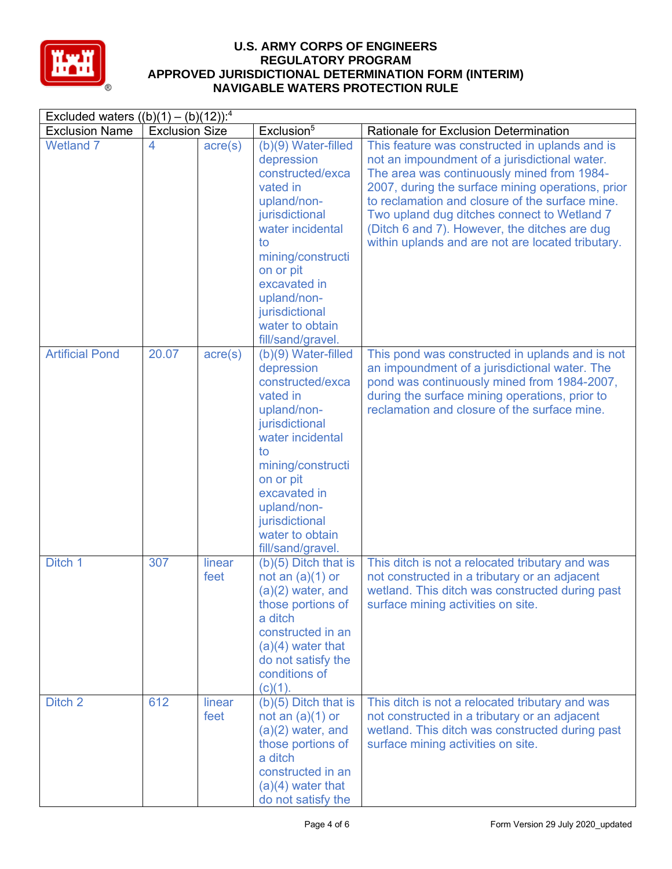

| Excluded waters $((b)(1) - (b)(12))$ : <sup>4</sup> |                       |                  |                                                                                                                                                                                                                                                         |                                                                                                                                                                                                                                                                                                                                                                                                            |  |
|-----------------------------------------------------|-----------------------|------------------|---------------------------------------------------------------------------------------------------------------------------------------------------------------------------------------------------------------------------------------------------------|------------------------------------------------------------------------------------------------------------------------------------------------------------------------------------------------------------------------------------------------------------------------------------------------------------------------------------------------------------------------------------------------------------|--|
| <b>Exclusion Name</b>                               | <b>Exclusion Size</b> |                  | Exclusion <sup>5</sup>                                                                                                                                                                                                                                  | Rationale for Exclusion Determination                                                                                                                                                                                                                                                                                                                                                                      |  |
| <b>Wetland 7</b>                                    | 4                     | $\text{acre}(s)$ | (b)(9) Water-filled<br>depression<br>constructed/exca<br>vated in<br>upland/non-<br>jurisdictional<br>water incidental<br>to<br>mining/constructi<br>on or pit<br>excavated in<br>upland/non-<br>jurisdictional<br>water to obtain<br>fill/sand/gravel. | This feature was constructed in uplands and is<br>not an impoundment of a jurisdictional water.<br>The area was continuously mined from 1984-<br>2007, during the surface mining operations, prior<br>to reclamation and closure of the surface mine.<br>Two upland dug ditches connect to Wetland 7<br>(Ditch 6 and 7). However, the ditches are dug<br>within uplands and are not are located tributary. |  |
| <b>Artificial Pond</b>                              | 20.07                 | $\text{acre}(s)$ | (b)(9) Water-filled<br>depression<br>constructed/exca<br>vated in<br>upland/non-<br>jurisdictional<br>water incidental<br>to<br>mining/constructi<br>on or pit<br>excavated in<br>upland/non-<br>jurisdictional<br>water to obtain<br>fill/sand/gravel. | This pond was constructed in uplands and is not<br>an impoundment of a jurisdictional water. The<br>pond was continuously mined from 1984-2007,<br>during the surface mining operations, prior to<br>reclamation and closure of the surface mine.                                                                                                                                                          |  |
| Ditch 1                                             | 307                   | linear<br>feet   | $(b)(5)$ Ditch that is<br>not an $(a)(1)$ or<br>$(a)(2)$ water, and<br>those portions of<br>a ditch<br>constructed in an<br>$(a)(4)$ water that<br>do not satisfy the<br>conditions of<br>$(c)(1)$ .                                                    | This ditch is not a relocated tributary and was<br>not constructed in a tributary or an adjacent<br>wetland. This ditch was constructed during past<br>surface mining activities on site.                                                                                                                                                                                                                  |  |
| Ditch 2                                             | 612                   | linear<br>feet   | $(b)(5)$ Ditch that is<br>not an $(a)(1)$ or<br>$(a)(2)$ water, and<br>those portions of<br>a ditch<br>constructed in an<br>$(a)(4)$ water that<br>do not satisfy the                                                                                   | This ditch is not a relocated tributary and was<br>not constructed in a tributary or an adjacent<br>wetland. This ditch was constructed during past<br>surface mining activities on site.                                                                                                                                                                                                                  |  |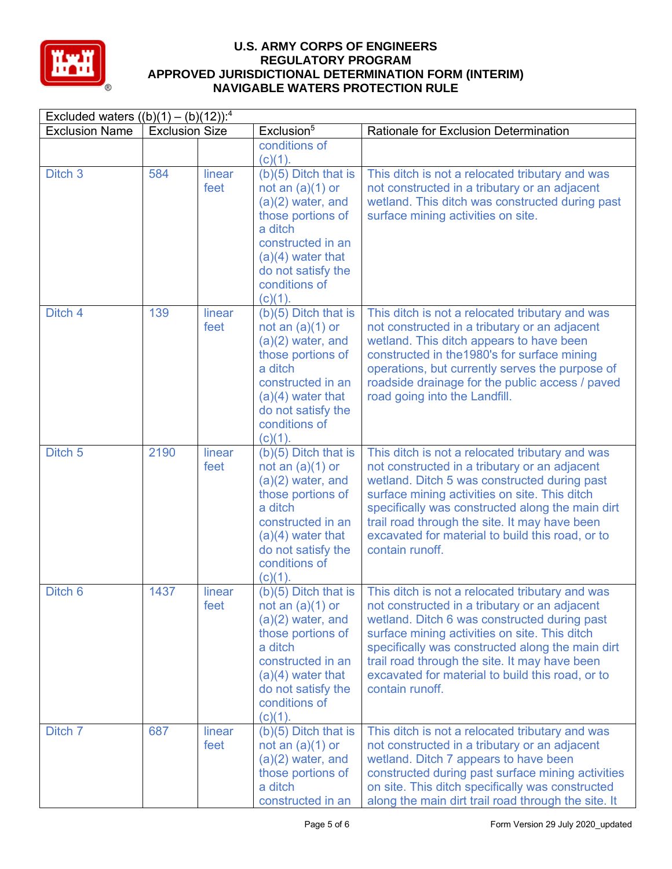

| Excluded waters $((b)(1) - (b)(12))$ : <sup>4</sup> |                       |                |                                                                                                                                                                                                      |                                                                                                                                                                                                                                                                                                                                                                               |
|-----------------------------------------------------|-----------------------|----------------|------------------------------------------------------------------------------------------------------------------------------------------------------------------------------------------------------|-------------------------------------------------------------------------------------------------------------------------------------------------------------------------------------------------------------------------------------------------------------------------------------------------------------------------------------------------------------------------------|
| <b>Exclusion Name</b>                               | <b>Exclusion Size</b> |                | Exclusion <sup>5</sup>                                                                                                                                                                               | Rationale for Exclusion Determination                                                                                                                                                                                                                                                                                                                                         |
|                                                     |                       |                | conditions of<br>$(c)(1)$ .                                                                                                                                                                          |                                                                                                                                                                                                                                                                                                                                                                               |
| Ditch <sub>3</sub>                                  | 584                   | linear<br>feet | $(b)(5)$ Ditch that is<br>not an $(a)(1)$ or<br>$(a)(2)$ water, and<br>those portions of<br>a ditch<br>constructed in an<br>$(a)(4)$ water that<br>do not satisfy the<br>conditions of<br>$(c)(1)$ . | This ditch is not a relocated tributary and was<br>not constructed in a tributary or an adjacent<br>wetland. This ditch was constructed during past<br>surface mining activities on site.                                                                                                                                                                                     |
| Ditch 4                                             | 139                   | linear<br>feet | $(b)(5)$ Ditch that is<br>not an $(a)(1)$ or<br>$(a)(2)$ water, and<br>those portions of<br>a ditch<br>constructed in an<br>$(a)(4)$ water that<br>do not satisfy the<br>conditions of<br>$(c)(1)$ . | This ditch is not a relocated tributary and was<br>not constructed in a tributary or an adjacent<br>wetland. This ditch appears to have been<br>constructed in the 1980's for surface mining<br>operations, but currently serves the purpose of<br>roadside drainage for the public access / paved<br>road going into the Landfill.                                           |
| Ditch <sub>5</sub>                                  | 2190                  | linear<br>feet | $(b)(5)$ Ditch that is<br>not an $(a)(1)$ or<br>$(a)(2)$ water, and<br>those portions of<br>a ditch<br>constructed in an<br>$(a)(4)$ water that<br>do not satisfy the<br>conditions of<br>$(c)(1)$ . | This ditch is not a relocated tributary and was<br>not constructed in a tributary or an adjacent<br>wetland. Ditch 5 was constructed during past<br>surface mining activities on site. This ditch<br>specifically was constructed along the main dirt<br>trail road through the site. It may have been<br>excavated for material to build this road, or to<br>contain runoff. |
| Ditch <sub>6</sub>                                  | 1437                  | linear<br>feet | $(b)(5)$ Ditch that is<br>not an $(a)(1)$ or<br>$(a)(2)$ water, and<br>those portions of<br>a ditch<br>constructed in an<br>$(a)(4)$ water that<br>do not satisfy the<br>conditions of<br>$(c)(1)$ . | This ditch is not a relocated tributary and was<br>not constructed in a tributary or an adjacent<br>wetland. Ditch 6 was constructed during past<br>surface mining activities on site. This ditch<br>specifically was constructed along the main dirt<br>trail road through the site. It may have been<br>excavated for material to build this road, or to<br>contain runoff. |
| Ditch 7                                             | 687                   | linear<br>feet | $(b)(5)$ Ditch that is<br>not an $(a)(1)$ or<br>$(a)(2)$ water, and<br>those portions of<br>a ditch<br>constructed in an                                                                             | This ditch is not a relocated tributary and was<br>not constructed in a tributary or an adjacent<br>wetland. Ditch 7 appears to have been<br>constructed during past surface mining activities<br>on site. This ditch specifically was constructed<br>along the main dirt trail road through the site. It                                                                     |